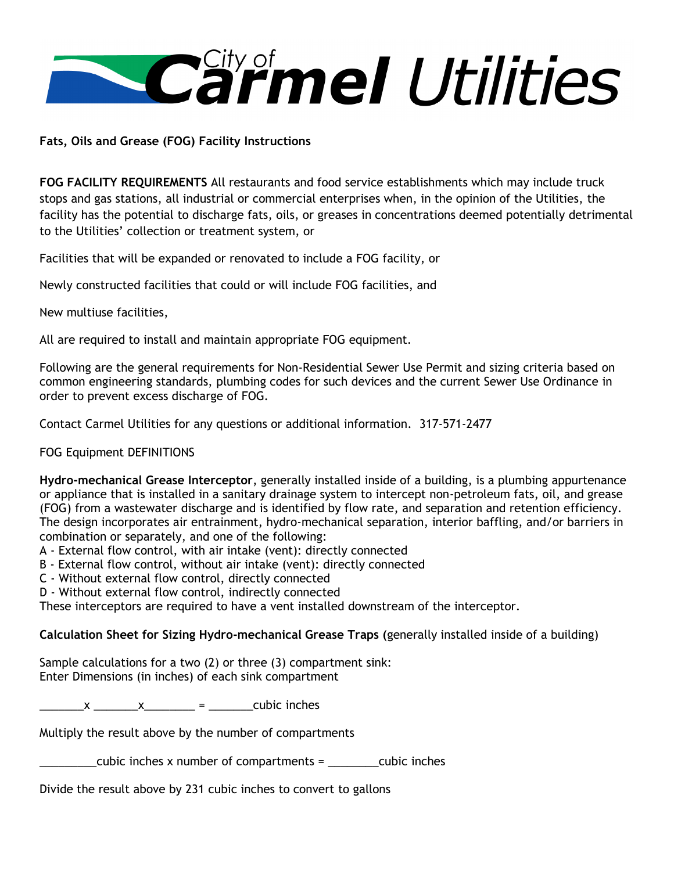

**Fats, Oils and Grease (FOG) Facility Instructions**

**FOG FACILITY REQUIREMENTS** All restaurants and food service establishments which may include truck stops and gas stations, all industrial or commercial enterprises when, in the opinion of the Utilities, the facility has the potential to discharge fats, oils, or greases in concentrations deemed potentially detrimental to the Utilities' collection or treatment system, or

Facilities that will be expanded or renovated to include a FOG facility, or

Newly constructed facilities that could or will include FOG facilities, and

New multiuse facilities,

All are required to install and maintain appropriate FOG equipment.

Following are the general requirements for Non-Residential Sewer Use Permit and sizing criteria based on common engineering standards, plumbing codes for such devices and the current Sewer Use Ordinance in order to prevent excess discharge of FOG.

Contact Carmel Utilities for any questions or additional information. 317-571-2477

FOG Equipment DEFINITIONS

**Hydro-mechanical Grease Interceptor**, generally installed inside of a building, is a plumbing appurtenance or appliance that is installed in a sanitary drainage system to intercept non-petroleum fats, oil, and grease (FOG) from a wastewater discharge and is identified by flow rate, and separation and retention efficiency. The design incorporates air entrainment, hydro-mechanical separation, interior baffling, and/or barriers in combination or separately, and one of the following:

- A External flow control, with air intake (vent): directly connected
- B External flow control, without air intake (vent): directly connected
- C Without external flow control, directly connected
- D Without external flow control, indirectly connected

These interceptors are required to have a vent installed downstream of the interceptor.

**Calculation Sheet for Sizing Hydro-mechanical Grease Traps (**generally installed inside of a building)

Sample calculations for a two (2) or three (3) compartment sink: Enter Dimensions (in inches) of each sink compartment

 $x \times x =$  cubic inches

Multiply the result above by the number of compartments

\_\_\_\_\_\_\_\_\_cubic inches x number of compartments = \_\_\_\_\_\_\_\_cubic inches

Divide the result above by 231 cubic inches to convert to gallons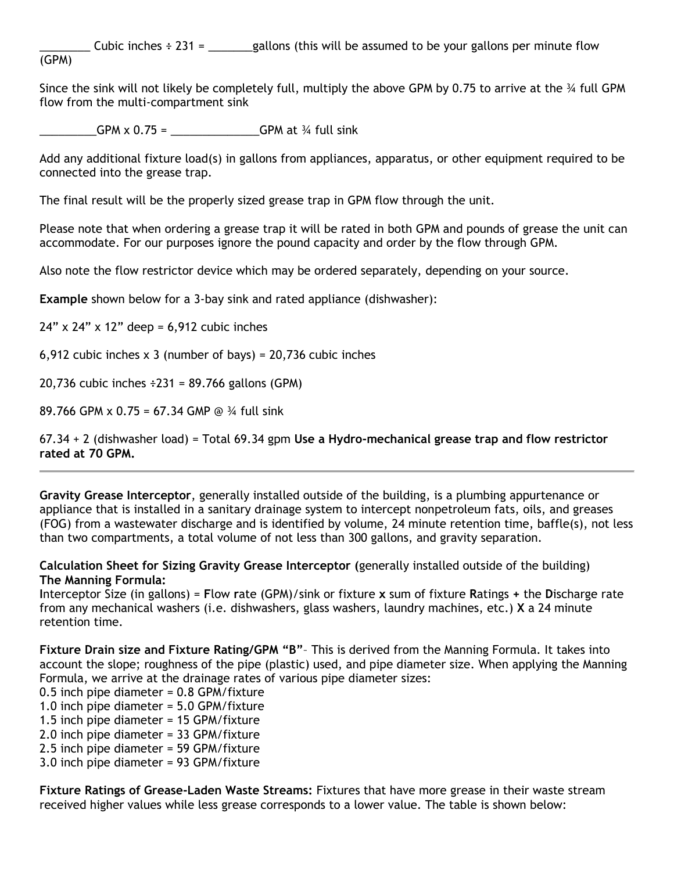Cubic inches  $\div 231 =$  gallons (this will be assumed to be your gallons per minute flow (GPM)

Since the sink will not likely be completely full, multiply the above GPM by 0.75 to arrive at the  $\frac{3}{4}$  full GPM flow from the multi-compartment sink

\_\_\_\_\_\_\_\_\_GPM x 0.75 = \_\_\_\_\_\_\_\_\_\_\_\_\_\_GPM at ¾ full sink

Add any additional fixture load(s) in gallons from appliances, apparatus, or other equipment required to be connected into the grease trap.

The final result will be the properly sized grease trap in GPM flow through the unit.

Please note that when ordering a grease trap it will be rated in both GPM and pounds of grease the unit can accommodate. For our purposes ignore the pound capacity and order by the flow through GPM.

Also note the flow restrictor device which may be ordered separately, depending on your source.

**Example** shown below for a 3-bay sink and rated appliance (dishwasher):

 $24"$  x  $24"$  x  $12"$  deep = 6,912 cubic inches

6,912 cubic inches  $x$  3 (number of bays) = 20,736 cubic inches

20,736 cubic inches  $\div 231 = 89.766$  gallons (GPM)

89.766 GPM x 0.75 = 67.34 GMP @ ¾ full sink

67.34 + 2 (dishwasher load) = Total 69.34 gpm **Use a Hydro-mechanical grease trap and flow restrictor rated at 70 GPM.**

**Gravity Grease Interceptor**, generally installed outside of the building, is a plumbing appurtenance or appliance that is installed in a sanitary drainage system to intercept nonpetroleum fats, oils, and greases (FOG) from a wastewater discharge and is identified by volume, 24 minute retention time, baffle(s), not less than two compartments, a total volume of not less than 300 gallons, and gravity separation.

**Calculation Sheet for Sizing Gravity Grease Interceptor (**generally installed outside of the building) **The Manning Formula:**

**I**nterceptor Size (in gallons) = **F**low **r**ate (GPM)/sink or fixture **x** sum of fixture **R**atings **+** the **D**ischarge rate from any mechanical washers (i.e. dishwashers, glass washers, laundry machines, etc.) **X** a 24 minute retention time.

**Fixture Drain size and Fixture Rating/GPM "B"**– This is derived from the Manning Formula. It takes into account the slope; roughness of the pipe (plastic) used, and pipe diameter size. When applying the Manning Formula, we arrive at the drainage rates of various pipe diameter sizes:

- 0.5 inch pipe diameter =  $0.8$  GPM/fixture
- 1.0 inch pipe diameter = 5.0 GPM/fixture
- 1.5 inch pipe diameter = 15 GPM/fixture
- 2.0 inch pipe diameter = 33 GPM/fixture
- 2.5 inch pipe diameter = 59 GPM/fixture
- 3.0 inch pipe diameter = 93 GPM/fixture

**Fixture Ratings of Grease-Laden Waste Streams:** Fixtures that have more grease in their waste stream received higher values while less grease corresponds to a lower value. The table is shown below: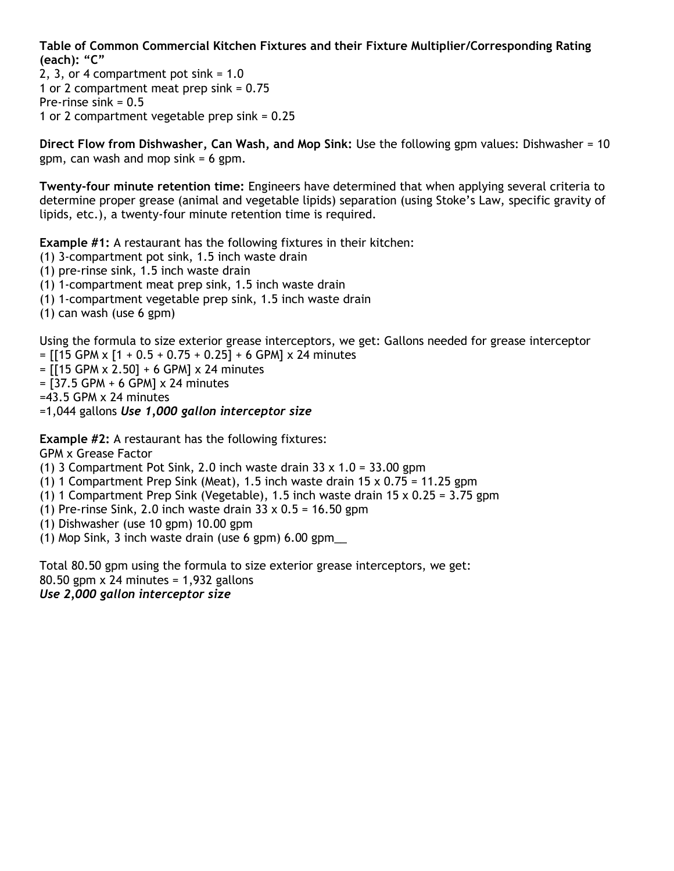**Table of Common Commercial Kitchen Fixtures and their Fixture Multiplier/Corresponding Rating (each): "C"**

2, 3, or 4 compartment pot sink  $= 1.0$ 1 or 2 compartment meat prep sink = 0.75 Pre-rinse sink = 0.5 1 or 2 compartment vegetable prep sink = 0.25

**Direct Flow from Dishwasher, Can Wash, and Mop Sink:** Use the following gpm values: Dishwasher = 10 gpm, can wash and mop sink  $= 6$  gpm.

**Twenty-four minute retention time:** Engineers have determined that when applying several criteria to determine proper grease (animal and vegetable lipids) separation (using Stoke's Law, specific gravity of lipids, etc.), a twenty-four minute retention time is required.

**Example #1:** A restaurant has the following fixtures in their kitchen:

- (1) 3-compartment pot sink, 1.5 inch waste drain
- (1) pre-rinse sink, 1.5 inch waste drain
- (1) 1-compartment meat prep sink, 1.5 inch waste drain
- (1) 1-compartment vegetable prep sink, 1.5 inch waste drain
- (1) can wash (use 6 gpm)

Using the formula to size exterior grease interceptors, we get: Gallons needed for grease interceptor  $=$  [[15 GPM x [1 + 0.5 + 0.75 + 0.25] + 6 GPM] x 24 minutes

- $=$  [[15 GPM x 2.50] + 6 GPM] x 24 minutes
- $=$  [37.5 GPM + 6 GPM]  $\times$  24 minutes
- $=43.5$  GPM  $\times$  24 minutes

=1,044 gallons *Use 1,000 gallon interceptor size* 

**Example #2:** A restaurant has the following fixtures:

GPM x Grease Factor

- (1) 3 Compartment Pot Sink, 2.0 inch waste drain  $33 \times 1.0 = 33.00$  gpm
- (1) 1 Compartment Prep Sink (Meat), 1.5 inch waste drain  $15 \times 0.75 = 11.25$  gpm
- (1) 1 Compartment Prep Sink (Vegetable), 1.5 inch waste drain  $15 \times 0.25 = 3.75$  gpm
- (1) Pre-rinse Sink, 2.0 inch waste drain  $33 \times 0.5 = 16.50$  gpm
- (1) Dishwasher (use 10 gpm) 10.00 gpm
- (1) Mop Sink, 3 inch waste drain (use 6 gpm) 6.00 gpm\_\_

Total 80.50 gpm using the formula to size exterior grease interceptors, we get: 80.50 gpm x 24 minutes = 1,932 gallons *Use 2,000 gallon interceptor size*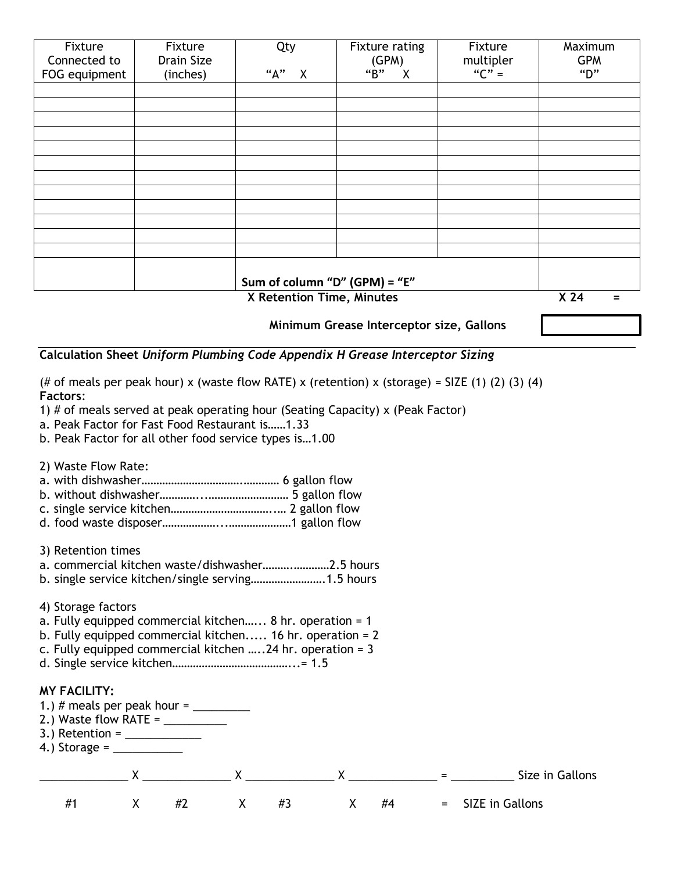| Fixture                   | Fixture    | Qty                              | Fixture rating | Fixture   | Maximum              |
|---------------------------|------------|----------------------------------|----------------|-----------|----------------------|
| Connected to              | Drain Size |                                  | (GPM)          | multipler | <b>GPM</b>           |
| FOG equipment             | (inches)   | "А"<br>$\boldsymbol{\mathsf{X}}$ | "B"<br>X       | " $C" =$  | "D"                  |
|                           |            |                                  |                |           |                      |
|                           |            |                                  |                |           |                      |
|                           |            |                                  |                |           |                      |
|                           |            |                                  |                |           |                      |
|                           |            |                                  |                |           |                      |
|                           |            |                                  |                |           |                      |
|                           |            |                                  |                |           |                      |
|                           |            |                                  |                |           |                      |
|                           |            |                                  |                |           |                      |
|                           |            |                                  |                |           |                      |
|                           |            |                                  |                |           |                      |
|                           |            |                                  |                |           |                      |
|                           |            |                                  |                |           |                      |
|                           |            | Sum of column "D" (GPM) = "E"    |                |           |                      |
| X Retention Time, Minutes |            |                                  |                |           | X <sub>24</sub><br>= |

 **Minimum Grease Interceptor size, Gallons** 

### **Calculation Sheet** *Uniform Plumbing Code Appendix H Grease Interceptor Sizing*

(# of meals per peak hour) x (waste flow RATE) x (retention) x (storage) = SIZE (1) (2) (3) (4) **Factors**:

1) # of meals served at peak operating hour (Seating Capacity) x (Peak Factor)

a. Peak Factor for Fast Food Restaurant is……1.33

b. Peak Factor for all other food service types is…1.00

2) Waste Flow Rate:

a. with dishwasher…………………………….………… 6 gallon flow

b. without dishwasher…………...……………………… 5 gallon flow

c. single service kitchen……………………………..… 2 gallon flow

d. food waste disposer………………...…………………1 gallon flow

3) Retention times

a. commercial kitchen waste/dishwasher……….…………2.5 hours

b. single service kitchen/single serving…………………….1.5 hours

4) Storage factors

a. Fully equipped commercial kitchen…... 8 hr. operation = 1

b. Fully equipped commercial kitchen..... 16 hr. operation = 2

c. Fully equipped commercial kitchen …..24 hr. operation = 3

d. Single service kitchen…………………………………...= 1.5

#### **MY FACILITY:**

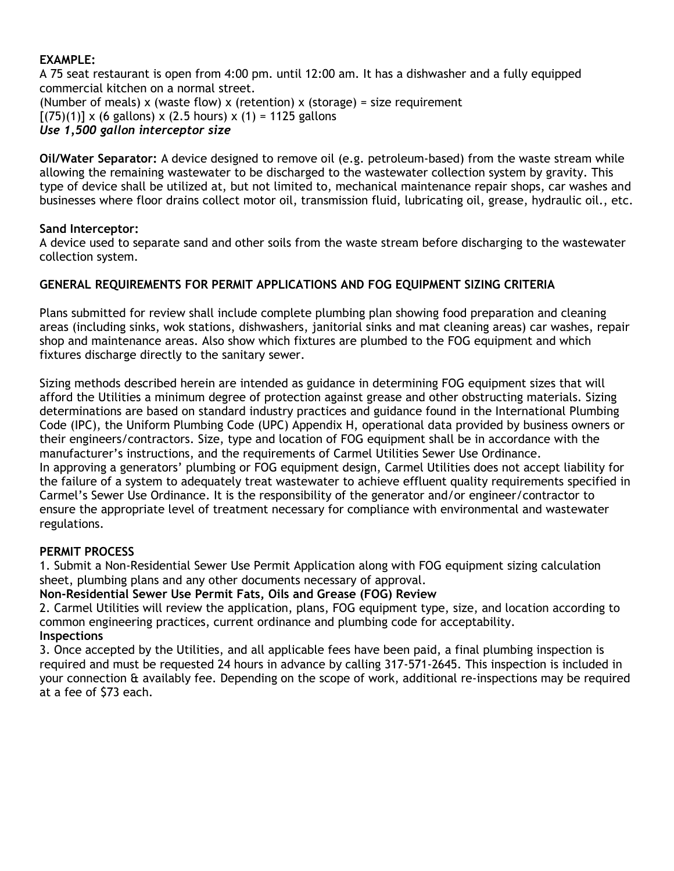## **EXAMPLE:**

A 75 seat restaurant is open from 4:00 pm. until 12:00 am. It has a dishwasher and a fully equipped commercial kitchen on a normal street. (Number of meals) x (waste flow) x (retention) x (storage) = size requirement  $[(75)(1)] \times (6$  gallons) x (2.5 hours) x (1) = 1125 gallons *Use 1,500 gallon interceptor size*

**Oil/Water Separator:** A device designed to remove oil (e.g. petroleum-based) from the waste stream while allowing the remaining wastewater to be discharged to the wastewater collection system by gravity. This type of device shall be utilized at, but not limited to, mechanical maintenance repair shops, car washes and businesses where floor drains collect motor oil, transmission fluid, lubricating oil, grease, hydraulic oil., etc.

### **Sand Interceptor:**

A device used to separate sand and other soils from the waste stream before discharging to the wastewater collection system.

# **GENERAL REQUIREMENTS FOR PERMIT APPLICATIONS AND FOG EQUIPMENT SIZING CRITERIA**

Plans submitted for review shall include complete plumbing plan showing food preparation and cleaning areas (including sinks, wok stations, dishwashers, janitorial sinks and mat cleaning areas) car washes, repair shop and maintenance areas. Also show which fixtures are plumbed to the FOG equipment and which fixtures discharge directly to the sanitary sewer.

Sizing methods described herein are intended as guidance in determining FOG equipment sizes that will afford the Utilities a minimum degree of protection against grease and other obstructing materials. Sizing determinations are based on standard industry practices and guidance found in the International Plumbing Code (IPC), the Uniform Plumbing Code (UPC) Appendix H, operational data provided by business owners or their engineers/contractors. Size, type and location of FOG equipment shall be in accordance with the manufacturer's instructions, and the requirements of Carmel Utilities Sewer Use Ordinance. In approving a generators' plumbing or FOG equipment design, Carmel Utilities does not accept liability for the failure of a system to adequately treat wastewater to achieve effluent quality requirements specified in Carmel's Sewer Use Ordinance. It is the responsibility of the generator and/or engineer/contractor to ensure the appropriate level of treatment necessary for compliance with environmental and wastewater regulations.

### **PERMIT PROCESS**

1. Submit a Non-Residential Sewer Use Permit Application along with FOG equipment sizing calculation sheet, plumbing plans and any other documents necessary of approval.

**Non-Residential Sewer Use Permit Fats, Oils and Grease (FOG) Review**

2. Carmel Utilities will review the application, plans, FOG equipment type, size, and location according to common engineering practices, current ordinance and plumbing code for acceptability. **Inspections**

3. Once accepted by the Utilities, and all applicable fees have been paid, a final plumbing inspection is required and must be requested 24 hours in advance by calling 317-571-2645. This inspection is included in your connection & availably fee. Depending on the scope of work, additional re-inspections may be required at a fee of \$73 each.